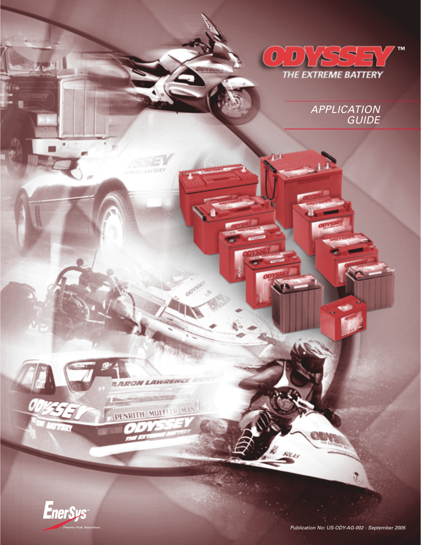

APPLICATION **GUIDE** 



**GARON LAWRENCL** 

PENRITH MUFFUR MAN

**TERLI** 

ů

 $5024s$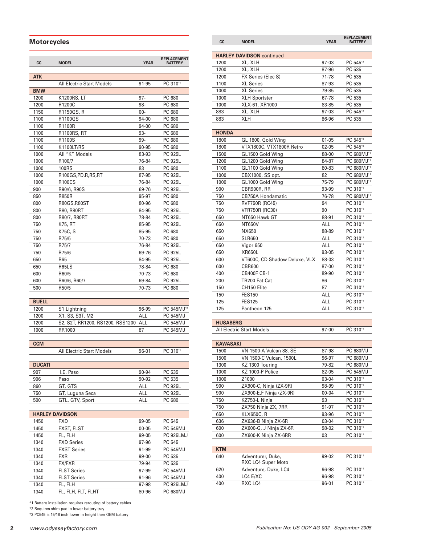## **Motorcycles**

| CC.                    | <b>MODEL</b>                     | <b>YEAR</b>    | <b>REPLACEMENT</b><br><b>BATTERY</b> |
|------------------------|----------------------------------|----------------|--------------------------------------|
| ATK                    |                                  |                |                                      |
|                        | All Electric Start Models        | 91-95          | PC 310*1                             |
| <b>BMW</b>             |                                  |                |                                      |
| 1200                   | K1200RS, LT                      | 97-            | PC 680                               |
| 1200                   | R1200C                           | 98-            | PC 680                               |
| 1150                   | R1150GS, R                       | 00-            | PC 680                               |
| 1100                   | R1100GS                          | 94-00          | PC 680                               |
| 1100                   | R1100R                           | 94-00          | PC 680                               |
| 1100                   | <b>R1100RS, RT</b>               | 93-            | PC 680                               |
| 1100                   | R1100S                           | 99-            | PC 680                               |
| 1100                   | K1100LT/RS                       | 90-95          | PC 680                               |
| 1000<br>1000           | All "K" Models                   | 83-93<br>76-84 | <b>PC 925L</b><br>PC 925L            |
| 1000                   | R <sub>100</sub> /7<br>100RS     | 83             | PC 680                               |
| 1000                   | R100GS,PD,R,RS,RT                | 87-95          | PC 925L                              |
| 1000                   | <b>R100CS</b>                    | 76-84          | PC 925L                              |
| 900                    | R90/6, R90S                      | 69-76          | PC 925L                              |
| 850                    | <b>R850R</b>                     | 95-97          | PC 680                               |
| 800                    | R80GS, R80ST                     | 80-96          | PC 680                               |
| 800                    | R80, R80RT                       | 84-95          | <b>PC 925L</b>                       |
| 800                    | R80/7, R80RT                     | 78-84          | PC 925L                              |
| 750                    | K75, RT                          | 85-95          | PC 925L                              |
| 750                    | K75C, S                          | 85-95          | PC 680                               |
| 750                    | R75/5                            | 70-73          | PC 680                               |
| 750                    | R75/7                            | 76-84          | <b>PC 925L</b>                       |
| 750                    | R75/6                            | 69-76          | PC 925L                              |
| 650                    | R65                              | 84-95          | <b>PC 925L</b>                       |
| 650                    | R65LS                            | 78-84          | PC 680                               |
| 600                    | R60/5                            | 70-73          | PC 680                               |
| 600                    | R60/6, R60/7                     | 69-84          | <b>PC 925L</b>                       |
| 500                    | R50/5                            | 70-73          | PC 680                               |
|                        |                                  |                |                                      |
| <b>BUELL</b>           |                                  |                |                                      |
| 1200                   | S1 Lightning                     | 96-99          | PC 545MJ <sup>*2</sup>               |
| 1200                   | X1, S3, S3T, M2                  | ALL            | <b>PC 545MJ</b>                      |
| 1200                   | S2, S2T, RR1200, RS1200, RSS1200 | <b>ALL</b>     | <b>PC 545MJ</b>                      |
| 1000                   | RR1000                           | 87             | <b>PC 545MJ</b>                      |
| <b>CCM</b>             |                                  |                |                                      |
|                        | <b>All Electric Start Models</b> | 96-01          | PC 310 <sup>*1</sup>                 |
|                        |                                  |                |                                      |
| <b>DUCATI</b>          |                                  |                |                                      |
| 907                    | I.E. Paso                        | 90-94          | PC 535                               |
| 906                    | Paso                             | 90-92          | PC 535                               |
| 860                    | GT, GTS                          | <b>ALL</b>     | <b>PC 925L</b>                       |
| 750                    | GT, Luguna Seca                  | <b>ALL</b>     | PC 925L                              |
| 500                    | GTL, GTV, Sport                  | ALL            | PC 680                               |
|                        |                                  |                |                                      |
| <b>HARLEY DAVIDSON</b> |                                  |                |                                      |
| 1450                   | <b>FXD</b>                       | 99-05          | PC 545                               |
| 1450                   | <b>FXST, FLST</b>                | $00 - 05$      | <b>PC 545MJ</b>                      |
| 1450                   | FL, FLH                          | 99-05          | PC 925LMJ                            |
| 1340                   | <b>FXD Series</b>                | 97-96          | PC 545                               |
| 1340                   | <b>FXST Series</b>               | 91-99          | <b>PC 545MJ</b>                      |
| 1340                   | <b>FXR</b>                       | 99-00          | PC 535                               |
| 1340                   | FX/FXR                           | 79-94          | PC 535                               |
| 1340                   | <b>FLST Series</b>               | 97-99          | <b>PC 545MJ</b>                      |
| 1340                   | <b>FLST Series</b>               | 91-96          | PC 545MJ                             |
| 1340<br>1340           | FL, FLH<br>FL, FLH, FLT, FLHT    | 97-98<br>80-96 | PC 925LMJ<br><b>PC 680MJ</b>         |
|                        |                                  |                |                                      |

\*1 Battery installation requires rerouting of battery cables

\*2 Requires shim pad in lower battery tray

\*3 PC545 is 15/16 inch lower in height then OEM battery

| cc              | <b>MODEL</b>                                  | <b>YEAR</b>    | <b>REPLACEMENT</b><br><b>BATTERY</b> |
|-----------------|-----------------------------------------------|----------------|--------------------------------------|
|                 | <b>HARLEY DAVIDSON continued</b>              |                |                                      |
| 1200            | XL, XLH                                       | 97-03          | PC 545 <sup>*2</sup>                 |
| 1200            | XL, XLH                                       | 87-96          | PC 535                               |
| 1200            | FX Series (Elec S)                            | 71-78          | PC 535                               |
| 1100            | <b>XL Series</b>                              | 87-93          | PC 535                               |
| 1000            | <b>XL Series</b>                              | 79-85          | PC 535                               |
| 1000            | <b>XLH Sportster</b>                          | 67-78          | PC 535                               |
| 1000            | XLX-61, XR1000                                | 83-85          | PC 535                               |
| 883             | XL, XLH                                       | 97-03          | PC 545 <sup>*2</sup>                 |
| 883             | <b>XLH</b>                                    | 86-96          | PC 535                               |
| <b>HONDA</b>    |                                               |                |                                      |
| 1800            | GL 1800, Gold Wing                            | 01-05          | PC 545 <sup>*</sup>                  |
| 1800            | VTX1800C, VTX1800R Retro                      | $02 - 05$      | PC 545*3                             |
| 1500            | GL1500 Gold Wing                              | 88-00          | PC 680MJ <sup>*1</sup>               |
| 1200            | GL1200 Gold Wing                              | 84-87          | PC 680MJ*1                           |
| 1100            | GL1100 Gold Wing                              | 80-83          | PC 680MJ <sup>*1</sup>               |
| 1000            | CBX1000, SS opt.                              | 82             | PC 680MJ*1                           |
| 1000            | GL1000 Gold Wing                              | 75-79          | PC 680MJ*1                           |
| 900             | CBR900R, RR                                   | 93-99          | PC 310*1                             |
| 750             | CB750A Hondamatic                             | 76-78          | PC 680MJ <sup>*1</sup>               |
| 750             | <b>RVF750R (RC45)</b>                         | 94             | PC 310*1                             |
| 750             | <b>VFR750R (RC30)</b>                         | 90             | PC 310*1                             |
| 650             | NT650 Hawk GT                                 | 88-91          | PC 310*1                             |
| 650             | <b>NT650V</b>                                 | ALL            | PC 310*1                             |
| 650             | NX650                                         | 88-89          | PC 310*1                             |
| 650             | <b>SLR650</b>                                 | ALL.           | PC 310*1                             |
| 650             | Vigor 650                                     | ALL            | PC 310*1                             |
| 650             | <b>XR650L</b>                                 | 93-05          | PC 310*1                             |
| 600             | VT600C, CD Shadow Deluxe, VLX                 | 88-03          | PC 310*1                             |
| 600             | <b>CBR600</b>                                 | 87-00          | PC 310*1                             |
| 400             | <b>CB400F CB-1</b>                            | 89-90          | PC 310*1                             |
| 200             | TR200 Fat Cat                                 | 86             | PC 310*1                             |
| 150             | CH150 Elite                                   | 87             | PC 310*1                             |
| 150             | <b>FES150</b>                                 | ALL            | PC 310 <sup>*1</sup>                 |
| 125             | <b>FES125</b>                                 | ALL            | PC 310*1                             |
| 125             | Pantheon 125                                  | ALL            | PC 310*1                             |
| <b>HUSABERG</b> |                                               |                |                                      |
|                 | <b>All Electric Start Models</b>              | 97-00          | PC 310*1                             |
|                 |                                               |                |                                      |
| KAWASAKI        |                                               |                |                                      |
| 1500            | VN 1500-A Vulcan 88, SE                       | 87-98          | PC 680MJ                             |
| 1500            | VN 1500-C Vulcan, 1500L                       | 96-97          | PC 680MJ                             |
| 1300            | KZ 1300 Touring                               | 79-82          | PC 680MJ                             |
| 1000            | KZ 1000-P Police                              | 82-05          | <b>PC 545MJ</b>                      |
| 1000            | Z1000                                         | 03-04          | PC 310*1                             |
| 900             | ZX900-C, Ninja (ZX-9R)                        | 98-99          | PC 310*1                             |
| 900             | ZX900-E,F Ninja (ZX-9R)                       | $00 - 04$      | PC 310*1                             |
| 750             | KZ750-L Ninja                                 | 93             | PC 310*1                             |
| 750             | ZX750 Ninja ZX, 7RR                           | 91-97          | PC 310*1                             |
| 650             | KLX650C, R                                    | 93-96          | PC 310*1                             |
| 636             | ZX636-B Ninja ZX-6R<br>ZX600-G, J Ninja ZX-6R | 03-04          | PC 310*1                             |
| 600<br>600      | ZX600-K Ninja ZX-6RR                          | 98-02<br>03    | PC 310*1<br>PC 310*1                 |
|                 |                                               |                |                                      |
| <b>KTM</b>      |                                               |                |                                      |
| 640             | Adventurer, Duke,                             | 99-02          | PC 310*1                             |
|                 | <b>RXC LC4 Super Moto</b>                     |                |                                      |
| 620             | Adventure, Duke, LC4                          | 96-98<br>96-98 | PC 310*1                             |
| 400             | LC4 E/XC                                      |                | PC 310*1<br>PC 310*1                 |
| 400             | RXC LC4                                       | 96-01          |                                      |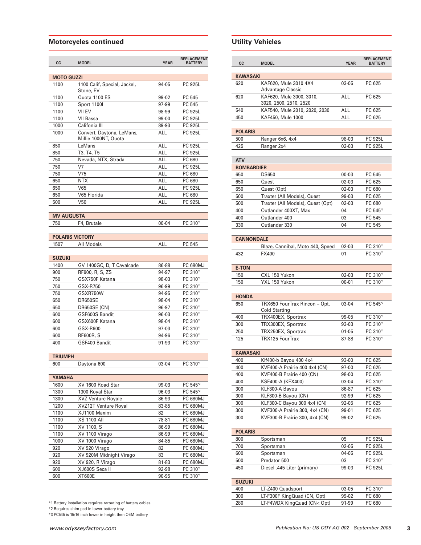## **Motorcycles continued**

| СC                | <b>MODEL</b>                                      | <b>YEAR</b> | <b>REPLACEMENT</b><br><b>BATTERY</b> |
|-------------------|---------------------------------------------------|-------------|--------------------------------------|
| <b>MOTO GUZZI</b> |                                                   |             |                                      |
| 1100              | 1100 Calif, Special, Jackel,                      | 94-05       | <b>PC 925L</b>                       |
|                   | Stone, EV                                         |             |                                      |
| 1100              | Quota 1100 ES                                     | 99-02       | PC 545                               |
| 1100              | Sport 1100l                                       | 97-99       | PC 545                               |
| 1100              | VII EV                                            | 98-99       | PC 925L                              |
| 1100              | VII Bassa                                         | $99-00$     | PC 925L                              |
| 1000              | Califonia III                                     | 89-93       | PC 925L                              |
| 1000              | Convert, Daytona, LeMans,<br>Millie 1000NT, Quota | ALL         | <b>PC 925L</b>                       |
| 850               | LeMans                                            | ALL         | PC 925L                              |
| 850               | T3, T4, T5                                        | ALL         | <b>PC 925L</b>                       |
| 750               | Nevada, NTX, Strada                               | ALL         | PC 680                               |
| 750               | V7                                                | ALL         | <b>PC 925L</b>                       |
| 750               | V75                                               | <b>ALL</b>  | PC 680                               |
| 650               | NTX                                               | ALL         | PC 680                               |
| 650               | V65                                               | ALL         | <b>PC 925L</b>                       |
| 650               | V65 Florida                                       | ALL         | PC 680                               |
| 500               | V <sub>50</sub>                                   | ALL         | PC 925L                              |
| <b>MV AUGUSTA</b> |                                                   |             |                                      |
| 750               | F4, Brutale                                       | 00-04       | PC 310*1                             |
|                   |                                                   |             |                                      |
|                   | <b>POLARIS VICTORY</b>                            |             |                                      |
| 1507              | All Models                                        | ALL         | PC 545                               |
| <b>SUZUKI</b>     |                                                   |             |                                      |
| 1400              | GV 1400GC, D, T Cavalcade                         | 86-88       | <b>PC 680MJ</b>                      |
| 900               | RF900, R, S, ZS                                   | 94-97       | PC 310*1                             |
| 750               | GSX750F Katana                                    | 98-03       | PC 310*1                             |
| 750               | GSX-R750                                          | 96-99       | PC 310*1                             |
| 750               | GSXR750W                                          | 94-95       | PC 310*1                             |
| 650               | DR650SE                                           | 98-04       | PC 310*1                             |
| 650               | <b>DR650SE (CN)</b>                               | 96-97       | PC 310*1                             |
| 600               | GSF600S Bandit                                    | 96-03       | PC 310*1                             |
| 600               | GSX600F Katana                                    | 98-04       | PC 310*1                             |
| 600               | GSX-R600                                          | 97-03       | PC 310*1                             |
| 600               | <b>RF600R, S</b>                                  | 94-96       | PC 310*1                             |
| 400               | GSF400 Bandit                                     | 91-93       | PC 310*1                             |
|                   |                                                   |             |                                      |
| <b>TRIUMPH</b>    |                                                   |             |                                      |
| 600               | Daytona 600                                       | 03-04       | PC 310*1                             |
| YAMAHA            |                                                   |             |                                      |
| 1600              | XV 1600 Road Star                                 | 99-03       | PC 545*3                             |
| 1300              | 1300 Royal Star                                   | 96-03       | PC 545*3                             |
| 1300              | <b>XVZ Venture Royale</b>                         | 86-93       | PC 680MJ                             |
| 1200              | XVZ12T Venture Royal                              | 83-85       | PC 680MJ                             |
| 1100              | XJ1100 Maxim                                      | 82          | <b>PC 680MJ</b>                      |
| 1100              | <b>XS 1100 All</b>                                | 78-81       | <b>PC 680MJ</b>                      |
| 1100              | XV 1100, S                                        | $86 - 99$   | PC 680MJ                             |
| 1100              | XV 1100 Virago                                    | 86-99       | PC 680MJ                             |
| 1000              | XV 1000 Virago                                    | 84-85       | PC 680MJ                             |
| 920               | XV 920 Virago                                     | 82          | <b>PC 680MJ</b>                      |
| 920               | XV 920M Midnight Virago                           | 83          | <b>PC 680MJ</b>                      |
| 920               | XV 920, R Virago                                  | 81-83       | <b>PC 680MJ</b>                      |
| 600               | XJ600S Seca II                                    | 92-98       | PC 310*1                             |
| 600               | XT600E                                            | 90-95       | PC 310*1                             |

\*1 Battery installation requires rerouting of battery cables

\*2 Requires shim pad in lower battery tray

\*3 PC545 is 15/16 inch lower in height then OEM battery

# **Utility Vehicles**

| СC                     | <b>MODEL</b>                             | <b>YEAR</b> | <b>REPLACEMENT</b><br><b>BATTERY</b> |
|------------------------|------------------------------------------|-------------|--------------------------------------|
|                        |                                          |             |                                      |
| <b>KAWASAKI</b><br>620 | KAF620, Mule 3010 4X4                    | 03-05       | PC 625                               |
|                        | <b>Advantage Classic</b>                 |             |                                      |
| 620                    | KAF620, Mule 3000, 3010,                 | <b>ALL</b>  | PC 625                               |
|                        | 3020, 2500, 2510, 2520                   |             |                                      |
| 540                    | KAF540, Mule 2010, 2020, 2030            | ALL         | PC 625                               |
| 450                    | KAF450, Mule 1000                        | ALL         | PC 625                               |
| <b>POLARIS</b>         |                                          |             |                                      |
| 500                    | Ranger 6x6, 4x4                          | 98-03       | PC 925L                              |
| 425                    | Ranger 2x4                               | 02-03       | PC 925L                              |
|                        |                                          |             |                                      |
| <b>ATV</b>             |                                          |             |                                      |
| <b>BOMBARDIER</b>      |                                          |             |                                      |
| 650                    | <b>DS650</b>                             | 00-03       | PC 545                               |
| 650                    | Quest                                    | 02-03       | PC 625                               |
| 650                    | Quest (Opt)                              | 02-03       | PC 680                               |
| 500                    | Traxter (All Models), Quest              | 99-03       | PC 625                               |
| 500                    | Traxter (All Models), Quest (Opt)        | $02 - 03$   | PC 680                               |
| 400<br>400             | Outlander 400XT, Max<br>Outlander 400    | 04<br>03    | PC 545*3<br>PC 545                   |
| 330                    | Outlander 330                            | 04          | PC 545                               |
|                        |                                          |             |                                      |
| <b>CANNONDALE</b>      |                                          |             |                                      |
|                        | Blaze, Cannibal, Moto 440, Speed         | 02-03       | PC 310*1                             |
| 432                    | FX400                                    | 01          | PC 310*1                             |
|                        |                                          |             |                                      |
| <b>E-TON</b>           |                                          |             |                                      |
| 150                    | CXL 150 Yukon                            | 02-03       | PC 310*1                             |
| 150                    | YXL 150 Yukon                            | $00 - 01$   | PC 310*1                             |
|                        |                                          |             |                                      |
| HONDA                  |                                          |             |                                      |
| 650                    | TRX650 FourTrax Rincon - Opt.            | 03-04       | PC 545*3                             |
|                        | Cold Starting                            | 99-05       | PC 310*1                             |
| 400<br>300             | TRX400EX, Sportrax<br>TRX300EX, Sportrax | 93-03       | PC 310*1                             |
| 250                    | TRX250EX, Sportrax                       | 01-05       | PC 310*1                             |
| 125                    | TRX125 FourTrax                          | 87-88       | PC 310*1                             |
|                        |                                          |             |                                      |
| <b>KAWASAKI</b>        |                                          |             |                                      |
| 400                    | Kif400-b Bayou 400 4x4                   | 93-00       | PC 625                               |
| 400                    | KVF400-A Prairie 400 4x4 (CN)            | 97-00       | PC 625                               |
| 400                    | KVF400-B Prairie 400 (CN)                | 98-00       | PC 625                               |
| 400                    | KSF400-A (KFX400)                        | 03-04       | PC 310*1                             |
| 300                    | KLF300-A Bayou                           | 86-87       | PC 625                               |
| 300                    | KLF300-B Bayou (CN)                      | 92-99       | PC 625                               |
| 300                    | KLF300-C Bayou 300 4x4 (CN)              | 92-05       | PC 625                               |
| 300                    | KVF300-A Prairie 300, 4x4 (CN)           | 99-01       | PC 625                               |
| 300                    | KVF300-B Prairie 300, 4x4 (CN)           | 99-02       | PC 625                               |
| <b>POLARIS</b>         |                                          |             |                                      |
| 800                    | Sportsman                                | 05          | PC 925L                              |
| 700                    | Sportsman                                | 02-05       | PC 925L                              |
| 600                    | Sportsman                                | 04-05       | PC 925L                              |
| 500                    | Predator 500                             | 03          | PC 310*1                             |
| 450                    | Diesel .445 Liter (primary)              | 99-03       | PC 925L                              |
|                        |                                          |             |                                      |
| <b>SUZUKI</b>          |                                          |             |                                      |
| 400                    | LT-Z400 Quadsport                        | 03-05       | PC 310*1                             |
| 300                    | LT-F300F KingQuad (CN, Opt)              | 99-02       | PC 680                               |
| 280                    | LT-F4WDX KingQuad (CN< Opt)              | 91-99       | PC 680                               |